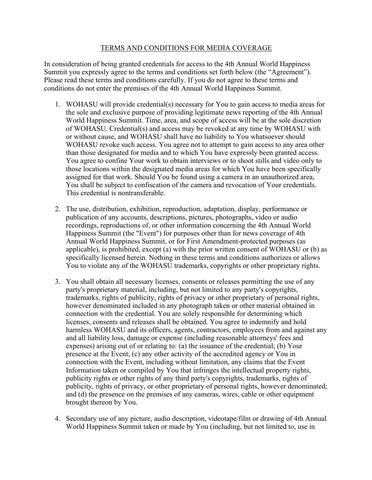## TERMS AND CONDITIONS FOR MEDIA COVERAGE

In consideration of being granted credentials for access to the 4th Annual World Happiness Summit you expressly agree to the terms and conditions set forth below (the "Agreement"). Please read these terms and conditions carefully. If you do not agree to these terms and conditions do not enter the premises of the 4th Annual World Happiness Summit.

- 1. WOHASU will provide credential(s) necessary for You to gain access to media areas for the sole and exclusive purpose of providing legitimate news reporting of the 4th Annual World Happiness Summit. Time, area, and scope of access will be at the sole discretion of WOHASU. Credential(s) and access may be revoked at any time by WOHASU with or without cause, and WOHASU shall have no liability to You whatsoever should WOHASU revoke such access. You agree not to attempt to gain access to any area other than those designated for media and to which You have expressly been granted access. You agree to confine Your work to obtain interviews or to shoot stills and video only to those locations within the designated media areas for which You have been specifically assigned for that work. Should You be found using a camera in an unauthorized area, You shall be subject to confiscation of the camera and revocation of Your credentials. This credential is nontransferable.
- 2. The use, distribution, exhibition, reproduction, adaptation, display, performance or publication of any accounts, descriptions, pictures, photographs, video or audio recordings, reproductions of, or other information concerning the 4th Annual World Happiness Summit (the "Event") for purposes other than for news coverage of 4th Annual World Happiness Summit, or for First Amendment-protected purposes (as applicable), is prohibited, except (a) with the prior written consent of WOHASU or (b) as specifically licensed herein. Nothing in these terms and conditions authorizes or allows You to violate any of the WOHASU trademarks, copyrights or other proprietary rights.
- 3. You shall obtain all necessary licenses, consents or releases permitting the use of any party's proprietary material, including, but not limited to any party's copyrights, trademarks, rights of publicity, rights of privacy or other proprietary of personal rights, however denominated included in any photograph taken or other material obtained in connection with the credential. You are solely responsible for determining which licenses, consents and releases shall be obtained. You agree to indemnify and hold harmless WOHASU and its officers, agents, contractors, employees from and against any and all liability loss, damage or expense (including reasonable attorneys' fees and expenses) arising out of or relating to: (a) the issuance of the credential; (b) Your presence at the Event; (c) any other activity of the accredited agency or You in connection with the Event, including without limitation, any claims that the Event Information taken or compiled by You that infringes the intellectual property rights, publicity rights or other rights of any third party's copyrights, trademarks, rights of publicity, rights of privacy, or other proprietary of personal rights, however denominated; and (d) the presence on the premises of any cameras, wires, cable or other equipment brought thereon by You.
- 4. Secondary use of any picture, audio description, videotape/film or drawing of 4th Annual World Happiness Summit taken or made by You (including, but not limited to, use in